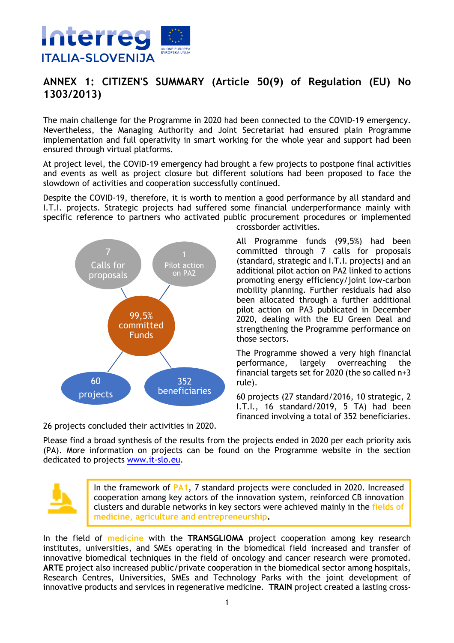

## **ANNEX 1: CITIZEN'S SUMMARY (Article 50(9) of Regulation (EU) No 1303/2013)**

The main challenge for the Programme in 2020 had been connected to the COVID-19 emergency. Nevertheless, the Managing Authority and Joint Secretariat had ensured plain Programme implementation and full operativity in smart working for the whole year and support had been ensured through virtual platforms.

At project level, the COVID-19 emergency had brought a few projects to postpone final activities and events as well as project closure but different solutions had been proposed to face the slowdown of activities and cooperation successfully continued.

Despite the COVID-19, therefore, it is worth to mention a good performance by all standard and I.T.I. projects. Strategic projects had suffered some financial underperformance mainly with specific reference to partners who activated public procurement procedures or implemented crossborder activities.



committed through 7 calls for proposals (standard, strategic and I.T.I. projects) and an additional pilot action on PA2 linked to actions promoting energy efficiency/joint low-carbon mobility planning. Further residuals had also been allocated through a further additional pilot action on PA3 publicated in December 2020, dealing with the EU Green Deal and strengthening the Programme performance on those sectors.

All Programme funds (99,5%) had been

The Programme showed a very high financial performance, largely overreaching the financial targets set for 2020 (the so called n+3 rule).

60 projects (27 standard/2016, 10 strategic, 2 I.T.I., 16 standard/2019, 5 TA) had been financed involving a total of 352 beneficiaries.

26 projects concluded their activities in 2020.

Please find a broad synthesis of the results from the projects ended in 2020 per each priority axis (PA). More information on projects can be found on the Programme website in the section dedicated to projects www.it-slo.eu.



In the framework of **PA1**, 7 standard projects were concluded in 2020. Increased cooperation among key actors of the innovation system, reinforced CB innovation clusters and durable networks in key sectors were achieved mainly in the **fields of medicine, agriculture and entrepreneurship.**

In the field of **medicine** with the **TRANSGLIOMA** project cooperation among key research institutes, universities, and SMEs operating in the biomedical field increased and transfer of innovative biomedical techniques in the field of oncology and cancer research were promoted. **ARTE** project also increased public/private cooperation in the biomedical sector among hospitals, Research Centres, Universities, SMEs and Technology Parks with the joint development of innovative products and services in regenerative medicine. **TRAIN** project created a lasting cross-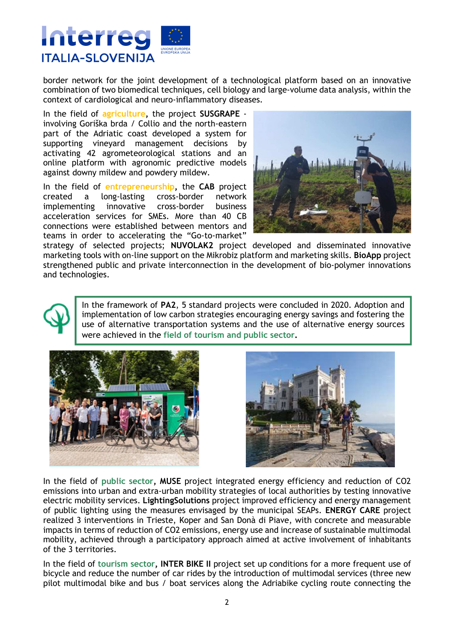

border network for the joint development of a technological platform based on an innovative combination of two biomedical techniques, cell biology and large-volume data analysis, within the context of cardiological and neuro-inflammatory diseases.

In the field of **agriculture,** the project **SUSGRAPE**  involving Goriška brda / Collio and the north-eastern part of the Adriatic coast developed a system for supporting vineyard management decisions by activating 42 agrometeorological stations and an online platform with agronomic predictive models against downy mildew and powdery mildew.

In the field of **entrepreneurship,** the **CAB** project created a long-lasting cross-border network implementing innovative cross-border business acceleration services for SMEs. More than 40 CB connections were established between mentors and teams in order to accelerating the "Go-to-market"



strategy of selected projects; **NUVOLAK2** project developed and disseminated innovative marketing tools with on-line support on the Mikrobiz platform and marketing skills. **BioApp** project strengthened public and private interconnection in the development of bio-polymer innovations and technologies.

> In the framework of **PA2**, 5 standard projects were concluded in 2020. Adoption and implementation of low carbon strategies encouraging energy savings and fostering the use of alternative transportation systems and the use of alternative energy sources were achieved in the **field of tourism and public sector.**





In the field of **public sector, MUSE** project integrated energy efficiency and reduction of CO2 emissions into urban and extra-urban mobility strategies of local authorities by testing innovative electric mobility services. **LightingSolutions** project improved efficiency and energy management of public lighting using the measures envisaged by the municipal SEAPs. **ENERGY CARE** project realized 3 interventions in Trieste, Koper and San Donà di Piave, with concrete and measurable impacts in terms of reduction of CO2 emissions, energy use and increase of sustainable multimodal mobility, achieved through a participatory approach aimed at active involvement of inhabitants of the 3 territories.

In the field of **tourism sector, INTER BIKE II** project set up conditions for a more frequent use of bicycle and reduce the number of car rides by the introduction of multimodal services (three new pilot multimodal bike and bus / boat services along the Adriabike cycling route connecting the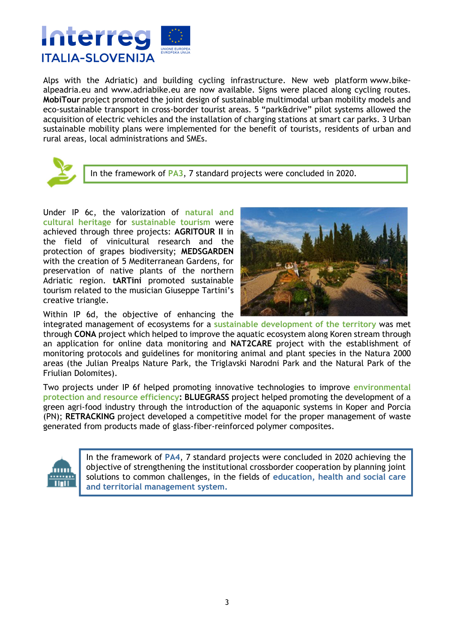

Alps with the Adriatic) and building cycling infrastructure. New web platform www.bikealpeadria.eu and www.adriabike.eu are now available. Signs were placed along cycling routes. **MobiTour** project promoted the joint design of sustainable multimodal urban mobility models and eco-sustainable transport in cross-border tourist areas. 5 "park&drive" pilot systems allowed the acquisition of electric vehicles and the installation of charging stations at smart car parks. 3 Urban sustainable mobility plans were implemented for the benefit of tourists, residents of urban and rural areas, local administrations and SMEs.



In the framework of **PA3**, 7 standard projects were concluded in 2020.

Under IP 6c, the valorization of **natural and cultural heritage** for **sustainable tourism** were achieved through three projects: **AGRITOUR II** in the field of vinicultural research and the protection of grapes biodiversity; **MEDSGARDEN** with the creation of 5 Mediterranean Gardens, for preservation of native plants of the northern Adriatic region. **tARTini** promoted sustainable tourism related to the musician Giuseppe Tartini's creative triangle.



Within IP 6d, the objective of enhancing the

integrated management of ecosystems for a **sustainable development of the territory** was met through **CONA** project which helped to improve the aquatic ecosystem along Koren stream through an application for online data monitoring and **NAT2CARE** project with the establishment of monitoring protocols and guidelines for monitoring animal and plant species in the Natura 2000 areas (the Julian Prealps Nature Park, the Triglavski Narodni Park and the Natural Park of the Friulian Dolomites).

Two projects under IP 6f helped promoting innovative technologies to improve **environmental protection and resource efficiency: BLUEGRASS** project helped promoting the development of a green agri-food industry through the introduction of the aquaponic systems in Koper and Porcia (PN); **RETRACKING** project developed a competitive model for the proper management of waste generated from products made of glass-fiber-reinforced polymer composites.



In the framework of **PA4**, 7 standard projects were concluded in 2020 achieving the objective of strengthening the institutional crossborder cooperation by planning joint solutions to common challenges, in the fields of **education, health and social care and territorial management system.**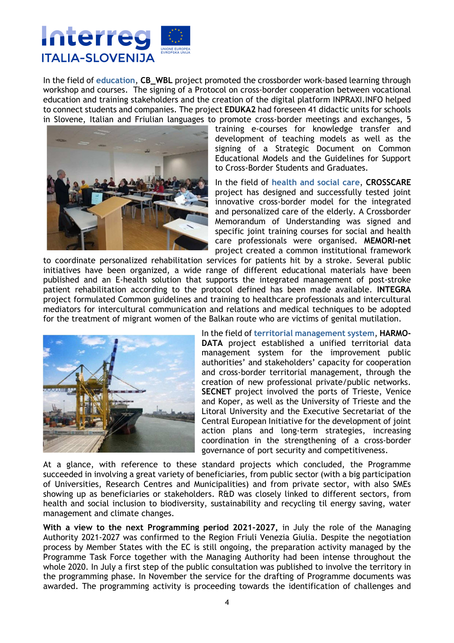

In the field of **education**, **CB\_WBL** project promoted the crossborder work-based learning through workshop and courses. The signing of a Protocol on cross-border cooperation between vocational education and training stakeholders and the creation of the digital platform INPRAXI.INFO helped to connect students and companies. The project **EDUKA2** had foreseen 41 didactic units for schools in Slovene, Italian and Friulian languages to promote cross-border meetings and exchanges, 5



training e-courses for knowledge transfer and development of teaching models as well as the signing of a Strategic Document on Common Educational Models and the Guidelines for Support to Cross-Border Students and Graduates.

In the field of **health and social care**, **CROSSCARE** project has designed and successfully tested joint innovative cross-border model for the integrated and personalized care of the elderly. A Crossborder Memorandum of Understanding was signed and specific joint training courses for social and health care professionals were organised. **MEMORI-net** project created a common institutional framework

to coordinate personalized rehabilitation services for patients hit by a stroke. Several public initiatives have been organized, a wide range of different educational materials have been published and an E-health solution that supports the integrated management of post-stroke patient rehabilitation according to the protocol defined has been made available. **INTEGRA** project formulated Common guidelines and training to healthcare professionals and intercultural mediators for intercultural communication and relations and medical techniques to be adopted for the treatment of migrant women of the Balkan route who are victims of genital mutilation.



In the field of **territorial management system**, **HARMO-DATA** project established a unified territorial data management system for the improvement public authorities' and stakeholders' capacity for cooperation and cross-border territorial management, through the creation of new professional private/public networks. **SECNET** project involved the ports of Trieste, Venice and Koper, as well as the University of Trieste and the Litoral University and the Executive Secretariat of the Central European Initiative for the development of joint action plans and long-term strategies, increasing coordination in the strengthening of a cross-border governance of port security and competitiveness.

At a glance, with reference to these standard projects which concluded, the Programme succeeded in involving a great variety of beneficiaries, from public sector (with a big participation of Universities, Research Centres and Municipalities) and from private sector, with also SMEs showing up as beneficiaries or stakeholders. R&D was closely linked to different sectors, from health and social inclusion to biodiversity, sustainability and recycling til energy saving, water management and climate changes.

**With a view to the next Programming period 2021-2027,** in July the role of the Managing Authority 2021-2027 was confirmed to the Region Friuli Venezia Giulia. Despite the negotiation process by Member States with the EC is still ongoing, the preparation activity managed by the Programme Task Force together with the Managing Authority had been intense throughout the whole 2020. In July a first step of the public consultation was published to involve the territory in the programming phase. In November the service for the drafting of Programme documents was awarded. The programming activity is proceeding towards the identification of challenges and